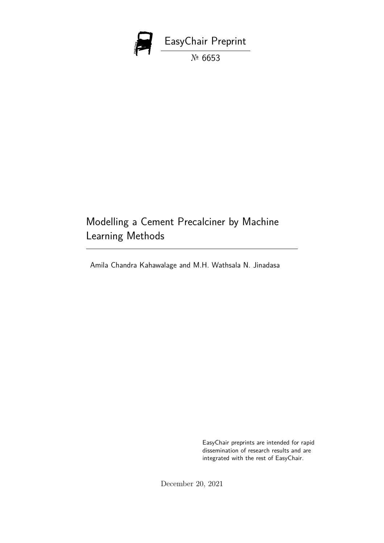

# Modelling a Cement Precalciner by Machine Learning Methods

Amila Chandra Kahawalage and M.H. Wathsala N. Jinadasa

EasyChair preprints are intended for rapid dissemination of research results and are integrated with the rest of EasyChair.

December 20, 2021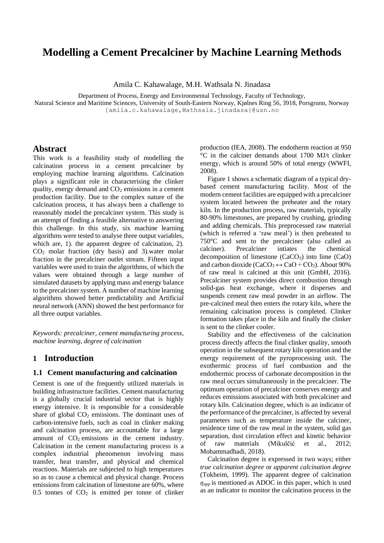# **Modelling a Cement Precalciner by Machine Learning Methods**

Amila C. Kahawalage, M.H. Wathsala N. Jinadasa

Department of Process, Energy and Environmental Technology, Faculty of Technology,

Natural Science and Maritime Sciences, University of South-Eastern Norway, Kjølnes Ring 56, 3918, Porsgrunn, Norway {amila.c.kahawalage,Wathsala.jinadasa}@usn.no

# **Abstract**

This work is a feasibility study of modelling the calcination process in a cement precalciner by employing machine learning algorithms. Calcination plays a significant role in characterising the clinker quality, energy demand and  $CO<sub>2</sub>$  emissions in a cement production facility. Due to the complex nature of the calcination process, it has always been a challenge to reasonably model the precalciner system. This study is an attempt of finding a feasible alternative to answering this challenge. In this study, six machine learning algorithms were tested to analyse three output variables, which are, 1). the apparent degree of calcination, 2).  $CO<sub>2</sub>$  molar fraction (dry basis) and 3).water molar fraction in the precalciner outlet stream. Fifteen input variables were used to train the algorithms, of which the values were obtained through a large number of simulated datasets by applying mass and energy balance to the precalciner system. A number of machine learning algorithms showed better predictability and Artificial neural network (ANN) showed the best performance for all three output variables.

*Keywords: precalciner, cement manufacturing process, machine learning, degree of calcination*

## **1 Introduction**

### **1.1 Cement manufacturing and calcination**

Cement is one of the frequently utilized materials in building infrastructure facilities. Cement manufacturing is a globally crucial industrial sector that is highly energy intensive. It is responsible for a considerable share of global  $CO<sub>2</sub>$  emissions. The dominant uses of carbon-intensive fuels, such as coal in clinker making and calcination process, are accountable for a large amount of  $CO<sub>2</sub>$  emissions in the cement industry. Calcination in the cement manufacturing process is a complex industrial phenomenon involving mass transfer, heat transfer, and physical and chemical reactions. Materials are subjected to high temperatures so as to cause a chemical and physical change. Process emissions from calcination of limestone are 60%, where  $0.5$  tonnes of  $CO<sub>2</sub>$  is emitted per tonne of clinker production (IEA, 2008). The endotherm reaction at 950 °C in the calciner demands about 1700 MJ/t clinker energy, which is around 50% of total energy (WWFI, 2008).

Figure 1 shows a schematic diagram of a typical drybased cement manufacturing facility. Most of the modern cement facilities are equipped with a precalciner system located between the preheater and the rotary kiln. In the production process, raw materials, typically 80-90% limestones, are prepared by crushing, grinding and adding chemicals. This preprocessed raw material (which is referred a 'raw meal') is then preheated to 750°C and sent to the precalciner (also called as calciner). Precalciner intiates the chemical decomposition of limestone  $(CaCO<sub>3</sub>)$  into lime  $(CaO)$ and carbon dioxide (CaCO<sub>3</sub>  $\leftrightarrow$  CaO + CO<sub>2</sub>). About 90% of raw meal is calcined at this unit (GmbH, 2016). Precalciner system provides direct combustion through solid-gas heat exchange, where it disperses and suspends cement raw meal powder in an airflow. The pre-calcined meal then enters the rotary kiln, where the remaining calcination process is completed. Clinker formation takes place in the kiln and finally the clinker is sent to the clinker cooler.

Stability and the effectiveness of the calcination process directly affects the final clinker quality, smooth operation in the subsequent rotary kiln operation and the energy requirement of the pyroprocessing unit. The exothermic process of fuel combustion and the endothermic process of carbonate decomposition in the raw meal occurs simultaneously in the precalciner. The optimum operation of precalciner conserves energy and reduces emissions associated with both precalciner and rotary kiln. Calcination degree, which is an indicator of the performance of the precalciner, is affected by several parameters such as temperature inside the calciner, residence time of the raw meal in the system, solid gas separation, dust circulation effect and kinetic behavior of raw materials (Mikulčić et al., 2012; Mohammadhadi, 2018).

Calcination degree is expressed in two ways; either *true calcination degree* or *apparent calcination degree* (Tokheim, 1999). The apparent degree of calcination *ηapp* is mentioned as ADOC in this paper, which is used as an indicator to monitor the calcination process in the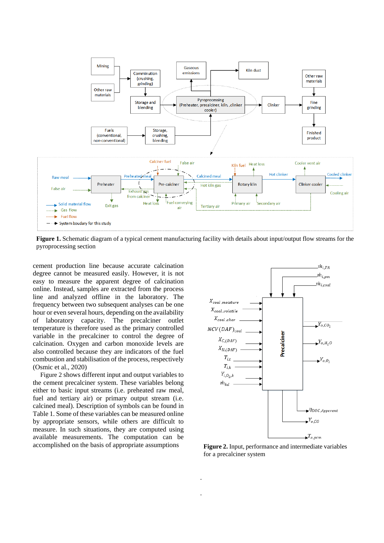

**Figure 1.** Schematic diagram of a typical cement manufacturing facility with details about input/output flow streams for the pyroprocessing section

.

.

cement production line because accurate calcination degree cannot be measured easily. However, it is not easy to measure the apparent degree of calcination online. Instead, samples are extracted from the process line and analyzed offline in the laboratory. The frequency between two subsequent analyses can be one hour or even several hours, depending on the availability of laboratory capacity. The precalciner outlet temperature is therefore used as the primary controlled variable in the precalciner to control the degree of calcination. Oxygen and carbon monoxide levels are also controlled because they are indicators of the fuel combustion and stabilisation of the process, respectively (Osmic et al., 2020)

Figure 2 shows different input and output variables to the cement precalciner system. These variables belong either to basic input streams (i.e. preheated raw meal, fuel and tertiary air) or primary output stream (i.e. calcined meal). Description of symbols can be found in Table 1. Some of these variables can be measured online by appropriate sensors, while others are difficult to measure. In such situations, they are computed using available measurements. The computation can be accomplished on the basis of appropriate assumptions



**Figure 2.** Input, performance and intermediate variables for a precalciner system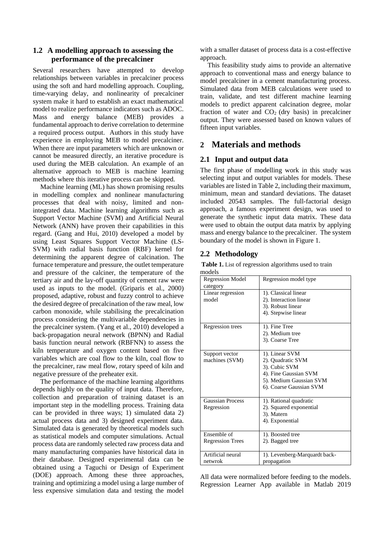# **1.2 A modelling approach to assessing the performance of the precalciner**

Several researchers have attempted to develop relationships between variables in precalciner process using the soft and hard modelling approach. Coupling, time-varying delay, and nonlinearity of precalciner system make it hard to establish an exact mathematical model to realize performance indicators such as ADOC. Mass and energy balance (MEB) provides a fundamental approach to derive correlation to determine a required process output. Authors in this study have experience in employing MEB to model precalciner. When there are input parameters which are unknown or cannot be measured directly, an iterative procedure is used during the MEB calculation. An example of an alternative approach to MEB is machine learning methods where this iterative process can be skipped.

Machine learning (ML) has shown promising results in modelling complex and nonlinear manufacturing processes that deal with noisy, limited and nonintegrated data. Machine learning algorithms such as Support Vector Machine (SVM) and Artificial Neural Network (ANN) have proven their capabilities in this regard. (Gang and Hui, 2010) developed a model by using Least Squares Support Vector Machine (LS-SVM) with radial basis function (RBF) kernel for determining the apparent degree of calcination. The furnace temperature and pressure, the outlet temperature and pressure of the calciner, the temperature of the tertiary air and the lay-off quantity of cement raw were used as inputs to the model. (Griparis et al., 2000) proposed, adaptive, robust and fuzzy control to achieve the desired degree of precalcination of the raw meal, low carbon monoxide, while stabilising the precalcination process considering the multivariable dependencies in the precalciner system. (Yang et al., 2010) developed a back-propagation neural network (BPNN) and Radial basis function neural network (RBFNN) to assess the kiln temperature and oxygen content based on five variables which are coal flow to the kiln, coal flow to the precalciner, raw meal flow, rotary speed of kiln and negative pressure of the preheater exit.

The performance of the machine learning algorithms depends highly on the quality of input data. Therefore, collection and preparation of training dataset is an important step in the modelling process. Training data can be provided in three ways; 1) simulated data 2) actual process data and 3) designed experiment data. Simulated data is generated by theoretical models such as statistical models and computer simulations. Actual process data are randomly selected raw process data and many manufacturing companies have historical data in their database. Designed experimental data can be obtained using a Taguchi or Design of Experiment (DOE) approach. Among these three approaches, training and optimizing a model using a large number of less expensive simulation data and testing the model

with a smaller dataset of process data is a cost-effective approach.

This feasibility study aims to provide an alternative approach to conventional mass and energy balance to model precalciner in a cement manufacturing process. Simulated data from MEB calculations were used to train, validate, and test different machine learning models to predict apparent calcination degree, molar fraction of water and  $CO<sub>2</sub>$  (dry basis) in precalciner output. They were assessed based on known values of fifteen input variables.

# **2 Materials and methods**

# **2.1 Input and output data**

The first phase of modelling work in this study was selecting input and output variables for models. These variables are listed in Table 2, including their maximum, minimum, mean and standard deviations. The dataset included 20543 samples. The full-factorial design approach, a famous experiment design, was used to generate the synthetic input data matrix. These data were used to obtain the output data matrix by applying mass and energy balance to the precalciner. The system boundary of the model is shown in Figure 1.

# **2.2 Methodology**

**Table 1.** List of regression algorithms used to train models

| <br><b>Regression Model</b>            | Regression model type                                                                                                               |
|----------------------------------------|-------------------------------------------------------------------------------------------------------------------------------------|
| category                               |                                                                                                                                     |
| Linear regression<br>model             | 1). Classical linear<br>2). Interaction linear<br>3). Robust linear<br>4). Stepwise linear                                          |
| Regression trees                       | 1). Fine Tree<br>2). Medium tree<br>3). Coarse Tree                                                                                 |
| Support vector<br>machines (SVM)       | 1). Linear SVM<br>2). Quadratic SVM<br>3). Cubic SVM<br>4). Fine Gaussian SVM<br>5). Medium Gaussian SVM<br>6). Coarse Gaussian SVM |
| <b>Gaussian Process</b><br>Regression  | 1). Rational quadratic<br>2). Squared exponential<br>3). Matern<br>4). Exponential                                                  |
| Ensemble of<br><b>Regression Trees</b> | 1). Boosted tree<br>2). Bagged tree                                                                                                 |
| Artificial neural<br>netwrok           | 1). Levenberg-Marquardt back-<br>propagation                                                                                        |

All data were normalized before feeding to the models. Regression Learner App available in Matlab 2019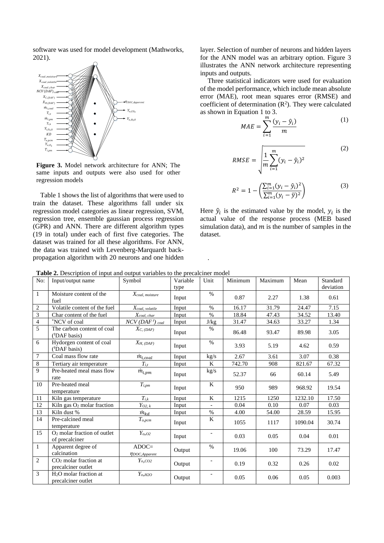software was used for model development (Mathworks, 2021).



**Figure 3.** Model network architecture for ANN; The same inputs and outputs were also used for other regression models

Table 1 shows the list of algorithms that were used to train the dataset. These algorithms fall under six regression model categories as linear regression, SVM, regression tree, ensemble gaussian process regression (GPR) and ANN. There are different algorithm types (19 in total) under each of first five categories. The dataset was trained for all these algorithms. For ANN, the data was trained with Levenberg-Marquardt backpropagation algorithm with 20 neurons and one hidden layer. Selection of number of neurons and hidden layers for the ANN model was an arbitrary option. Figure 3 illustrates the ANN network architecture representing inputs and outputs.

Three statistical indicators were used for evaluation of the model performance, which include mean absolute error (MAE), root mean squares error (RMSE) and coefficient of determination  $(R^2)$ . They were calculated as shown in Equation 1 to 3.

$$
MAE = \sum_{i=1}^{m} \frac{(y_i - \hat{y}_i)}{m}
$$
 (1)

$$
RMSE = \sqrt{\frac{1}{m} \sum_{i=1}^{m} (y_i - \hat{y}_i)^2}
$$
 (2)

$$
R^{2} = 1 - \left(\frac{\sum_{i=1}^{m} (y_{i} - \hat{y}_{i})^{2}}{\sum_{i=1}^{m} (y_{i} - \bar{y})^{2}}\right)
$$
(3)

Here  $\hat{y}_i$  is the estimated value by the model,  $y_i$  is the actual value of the response process (MEB based simulation data), and  $m$  is the number of samples in the dataset.

**Table 2.** Description of input and output variables to the precalciner model

|                         | <b>rative 2.</b> Description of hiput and output variables to the precaremer moder |                                 |          |                          |         |         |         |           |
|-------------------------|------------------------------------------------------------------------------------|---------------------------------|----------|--------------------------|---------|---------|---------|-----------|
| No:                     | Input/output name                                                                  | Symbol                          | Variable | Unit                     | Minimum | Maximum | Mean    | Standard  |
|                         |                                                                                    |                                 | type     |                          |         |         |         | deviation |
| $\mathbf{1}$            | Moisture content of the<br>fuel                                                    | $X_{coal, \, moisture}$         | Input    | $\%$                     | 0.87    | 2.27    | 1.38    | 0.61      |
| $\sqrt{2}$              | Volatile content of the fuel                                                       | $X_{coal, \; volatile}$         | Input    | $\%$                     | 16.17   | 31.79   | 24.47   | 7.15      |
| $\overline{\mathbf{3}}$ | Char content of the fuel                                                           | $X_{coal, char}$                | Input    | $\%$                     | 18.84   | 47.43   | 34.52   | 13.40     |
| $\overline{4}$          | *NCV of coal                                                                       | $NCV(DAFt)$ coal                | Input    | J/kg                     | 31.47   | 34.63   | 33.27   | 1.34      |
| $\overline{5}$          | The carbon content of coal<br>$(^{\dagger}DAF$ basis)                              | $X_{C, (DAF)}$                  | Input    | %                        | 86.48   | 93.47   | 89.98   | 3.05      |
| 6                       | Hydorgen content of coal<br>( <sup>†</sup> DAF basis)                              | $X_{H, (DAF)}$                  | Input    | $\%$                     | 3.93    | 5.19    | 4.62    | 0.59      |
| $\tau$                  | Coal mass flow rate                                                                | $\dot{m}_{i,coal}$              | Input    | kg/s                     | 2.67    | 3.61    | 3.07    | 0.38      |
| $\,8\,$                 | Tertiary air temperature                                                           | $T_{i.t.}$                      | Input    | K                        | 742.70  | 908     | 821.67  | 67.32     |
| 9                       | Pre-heated meal mass flow<br>rate                                                  | $\dot{m}_{i,pm}$                | Input    | kg/s                     | 52.37   | 66      | 60.14   | 5.49      |
| 10                      | Pre-heated meal<br>temperature                                                     | $T_{i,pm}$                      | Input    | $\overline{\mathbf{K}}$  | 950     | 989     | 968.92  | 19.54     |
| 11                      | Kiln gas temperature                                                               | $T_{i,k}$                       | Input    | K                        | 1215    | 1250    | 1232.10 | 17.50     |
| 12                      | Kiln gas O <sub>2</sub> molar fraction                                             | $Y_{O2, k}$                     | Input    |                          | 0.04    | 0.10    | 0.07    | 0.03      |
| 13                      | Kiln dust %                                                                        | $\dot{m}_{kd}$                  | Input    | $\%$                     | 4.00    | 54.00   | 28.59   | 15.95     |
| 14                      | Pre-calcined meal<br>temperature                                                   | $T_{o,pcm}$                     | Input    | K                        | 1055    | 1117    | 1090.04 | 30.74     |
| 15                      | O <sub>2</sub> molar fraction of outlet<br>of precalciner                          | $Y_{o, O2}$                     | Input    | $\overline{\phantom{a}}$ | 0.03    | 0.05    | 0.04    | 0.01      |
| $\mathbf{1}$            | Apparent degree of<br>calcination                                                  | $ADOC=$<br>$\eta$ DOC, Apparent | Output   | $\%$                     | 19.06   | 100     | 73.29   | 17.47     |
| $\overline{2}$          | $CO2$ molar fraction at<br>precalciner outlet                                      | $Y_{o,CO2}$                     | Output   | $\overline{\phantom{a}}$ | 0.19    | 0.32    | 0.26    | 0.02      |
| 3                       | $H2O$ molar fraction at<br>precalciner outlet                                      | $Y_{o, H2O}$                    | Output   |                          | 0.05    | 0.06    | 0.05    | 0.003     |

.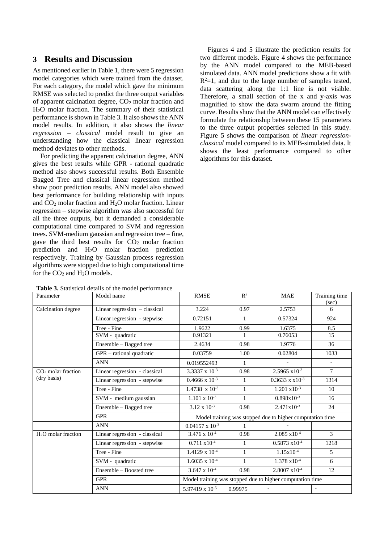# **3 Results and Discussion**

As mentioned earlier in Table 1, there were 5 regression model categories which were trained from the dataset. For each category, the model which gave the minimum RMSE was selected to predict the three output variables of apparent calcination degree, CO<sup>2</sup> molar fraction and H2O molar fraction. The summary of their statistical performance is shown in Table 3. It also shows the ANN model results. In addition, it also shows the *linear regression – classical* model result to give an understanding how the classical linear regression method deviates to other methods.

For predicting the apparent calcination degree, ANN gives the best results while GPR - rational quadratic method also shows successful results. Both Ensemble Bagged Tree and classical linear regression method show poor prediction results. ANN model also showed best performance for building relationship with inputs and  $CO<sub>2</sub>$  molar fraction and  $H<sub>2</sub>O$  molar fraction. Linear regression – stepwise algorithm was also successful for all the three outputs, but it demanded a considerable computational time compared to SVM and regression trees. SVM-medium gaussian and regression tree – fine, gave the third best results for  $CO<sub>2</sub>$  molar fraction prediction and H2O molar fraction prediction respectively. Training by Gaussian process regression algorithms were stopped due to high computational time for the  $CO<sub>2</sub>$  and  $H<sub>2</sub>O$  models.

Figures 4 and 5 illustrate the prediction results for two different models. Figure 4 shows the performance by the ANN model compared to the MEB-based simulated data. ANN model predictions show a fit with  $R^2=1$ , and due to the large number of samples tested, data scattering along the 1:1 line is not visible. Therefore, a small section of the x and y-axis was magnified to show the data swarm around the fitting curve. Results show that the ANN model can effectively formulate the relationship between these 15 parameters to the three output properties selected in this study. Figure 5 shows the comparison of *linear regressionclassical* model compared to its MEB-simulated data. It shows the least performance compared to other algorithms for this dataset.

| Parameter                       | Model name                    | <b>RMSE</b>                                               | $\mathbb{R}^2$ | <b>MAE</b>               | Training time  |  |  |  |
|---------------------------------|-------------------------------|-----------------------------------------------------------|----------------|--------------------------|----------------|--|--|--|
|                                 |                               |                                                           |                |                          | (sec)          |  |  |  |
| Calcination degree              | Linear regression - classical | 3.224                                                     | 0.97           | 2.5753                   | 6              |  |  |  |
|                                 | Linear regression - stepwise  | 0.72151                                                   | 1              | 0.57324                  | 924            |  |  |  |
|                                 | Tree - Fine                   | 1.9622                                                    | 0.99           | 1.6375                   | 8.5            |  |  |  |
|                                 | SVM - quadratic               | 0.91321                                                   |                | 0.76053                  | 15             |  |  |  |
|                                 | Ensemble – Bagged tree        | 2.4634                                                    | 0.98           | 1.9776                   | 36             |  |  |  |
|                                 | $GPR$ – rational quadratic    | 0.03759                                                   | 1.00           | 0.02804                  | 1033           |  |  |  |
|                                 | <b>ANN</b>                    | 0.019552493                                               | $\mathbf{1}$   |                          |                |  |  |  |
| $CO2$ molar fraction            | Linear regression - classical | 3.3337 x $10^{-3}$                                        | 0.98           | $2.5965 \times 10^{-3}$  | $\overline{7}$ |  |  |  |
| (dry basis)                     | Linear regression - stepwise  | $0.4666 \times 10^{-3}$                                   | 1              | $0.3633 \times x10^{-3}$ | 1314           |  |  |  |
|                                 | Tree - Fine                   | $1.4738 \times 10^{-3}$                                   | $\mathbf{1}$   | $1.201 \times 10^{-3}$   | 10             |  |  |  |
|                                 | SVM - medium gaussian         | $1.101 \times 10^{-3}$                                    | $\mathbf{1}$   | $0.898x10^{-3}$          | 16             |  |  |  |
|                                 | Ensemble – Bagged tree        | $3.12 \times 10^{-3}$                                     | 0.98           | $2.471 \times 10^{-3}$   | 24             |  |  |  |
|                                 | <b>GPR</b>                    | Model training was stopped due to higher computation time |                |                          |                |  |  |  |
|                                 | <b>ANN</b>                    | $0.04157 \times 10^{-3}$                                  | 1              |                          |                |  |  |  |
| H <sub>2</sub> O molar fraction | Linear regression - classical | $3.476 \times 10^{-4}$                                    | 0.98           | $2.085 \times 10^{-4}$   | 3              |  |  |  |
|                                 | Linear regression - stepwise  | $0.711 \times 10^{-4}$                                    | $\mathbf{1}$   | $0.5873 \times 10^{-4}$  | 1218           |  |  |  |
|                                 | Tree - Fine                   | $1.4129 \times 10^{-4}$                                   | $\mathbf{1}$   | $1.15x10^{-4}$           | $\mathfrak{H}$ |  |  |  |
|                                 | SVM - quadratic               | $1.6035 \times 10^{-4}$                                   | 1              | $1.378 \times 10^{-4}$   | 6              |  |  |  |
|                                 | Ensemble - Boosted tree       | $3.647 \times 10^{-4}$                                    | 0.98           | $2.8007 \times 10^{-4}$  | 12             |  |  |  |
|                                 | <b>GPR</b>                    | Model training was stopped due to higher computation time |                |                          |                |  |  |  |
|                                 | <b>ANN</b>                    | $5.97419 \times 10^{-5}$                                  | 0.99975        |                          |                |  |  |  |

**Table 3.** Statistical details of the model performance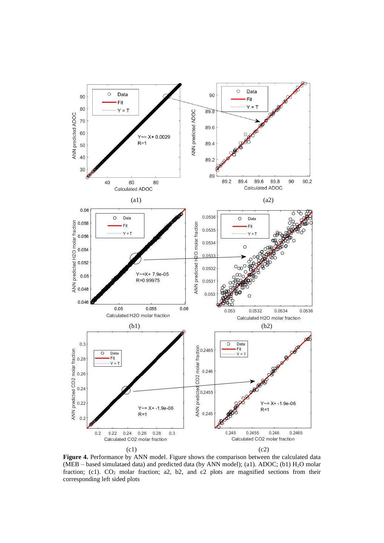

Figure 4. Performance by ANN model. Figure shows the comparison between the calculated data (MEB – based simulataed data) and predicted data (by ANN model); (a1). ADOC; (b1)  $H_2O$  molar fraction; (c1).  $CO_2$  molar fraction; a2, b2, and c2 plots are magnified sections from their corresponding left sided plots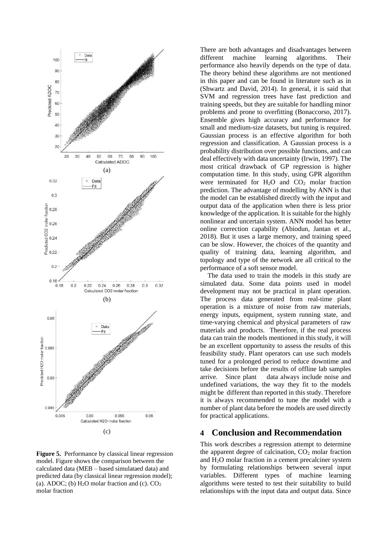

**Figure 5.** Performance by classical linear regression model. Figure shows the comparison between the calculated data (MEB – based simulataed data) and predicted data (by classical linear regression model); (a). ADOC; (b)  $H<sub>2</sub>O$  molar fraction and (c).  $CO<sub>2</sub>$ molar fraction

There are both advantages and disadvantages between different machine learning algorithms. Their performance also heavily depends on the type of data. The theory behind these algorithms are not mentioned in this paper and can be found in literature such as in (Shwartz and David, 2014). In general, it is said that SVM and regression trees have fast prediction and training speeds, but they are suitable for handling minor problems and prone to overfitting (Bonaccorso, 2017). Ensemble gives high accuracy and performance for small and medium-size datasets, but tuning is required. Gaussian process is an effective algorithm for both regression and classification. A Gaussian process is a probability distribution over possible functions, and can deal effectively with data uncertainty (Irwin, 1997). The most critical drawback of GP regression is higher computation time. In this study, using GPR algorithm were terminated for  $H_2O$  and  $CO_2$  molar fraction prediction. The advantage of modelling by ANN is that the model can be established directly with the input and output data of the application when there is less prior knowledge of the application. It is suitable for the highly nonlinear and uncertain system. ANN model has better online correction capability (Abiodun, Jantan et al., 2018). But it uses a large memory, and training speed can be slow. However, the choices of the quantity and quality of training data, learning algorithm, and topology and type of the network are all critical to the performance of a soft sensor model.

The data used to train the models in this study are simulated data. Some data points used in model development may not be practical in plant operation. The process data generated from real-time plant operation is a mixture of noise from raw materials, energy inputs, equipment, system running state, and time-varying chemical and physical parameters of raw materials and products. Therefore, if the real process data can train the models mentioned in this study, it will be an excellent opportunity to assess the results of this feasibility study. Plant operators can use such models tuned for a prolonged period to reduce downtime and take decisions before the results of offline lab samples arrive. Since plant data always include noise and undefined variations, the way they fit to the models might be different than reported in this study. Therefore it is always recommended to tune the model with a number of plant data before the models are used directly for practical applications.

# **4 Conclusion and Recommendation**

This work describes a regression attempt to determine the apparent degree of calcination,  $CO<sub>2</sub>$  molar fraction and H2O molar fraction in a cement precalciner system by formulating relationships between several input variables. Different types of machine learning algorithms were tested to test their suitability to build relationships with the input data and output data. Since